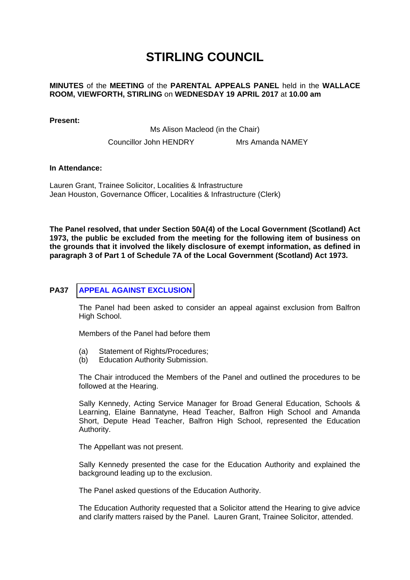# **STIRLING COUNCIL**

## **MINUTES** of the **MEETING** of the **PARENTAL APPEALS PANEL** held in the **WALLACE ROOM, VIEWFORTH, STIRLING** on **WEDNESDAY 19 APRIL 2017** at **10.00 am**

**Present:** 

Ms Alison Macleod (in the Chair)

Councillor John HENDRY Mrs Amanda NAMEY

#### **In Attendance:**

Lauren Grant, Trainee Solicitor, Localities & Infrastructure Jean Houston, Governance Officer, Localities & Infrastructure (Clerk)

**The Panel resolved, that under Section 50A(4) of the Local Government (Scotland) Act 1973, the public be excluded from the meeting for the following item of business on the grounds that it involved the likely disclosure of exempt information, as defined in paragraph 3 of Part 1 of Schedule 7A of the Local Government (Scotland) Act 1973.** 

## **PA37 [APPEAL AGAINST EXCLUSION](/forms/request.htm)**

The Panel had been asked to consider an appeal against exclusion from Balfron High School.

Members of the Panel had before them

- (a) Statement of Rights/Procedures;
- (b) Education Authority Submission.

The Chair introduced the Members of the Panel and outlined the procedures to be followed at the Hearing.

Sally Kennedy, Acting Service Manager for Broad General Education, Schools & Learning, Elaine Bannatyne, Head Teacher, Balfron High School and Amanda Short, Depute Head Teacher, Balfron High School, represented the Education Authority.

The Appellant was not present.

Sally Kennedy presented the case for the Education Authority and explained the background leading up to the exclusion.

The Panel asked questions of the Education Authority.

The Education Authority requested that a Solicitor attend the Hearing to give advice and clarify matters raised by the Panel. Lauren Grant, Trainee Solicitor, attended.